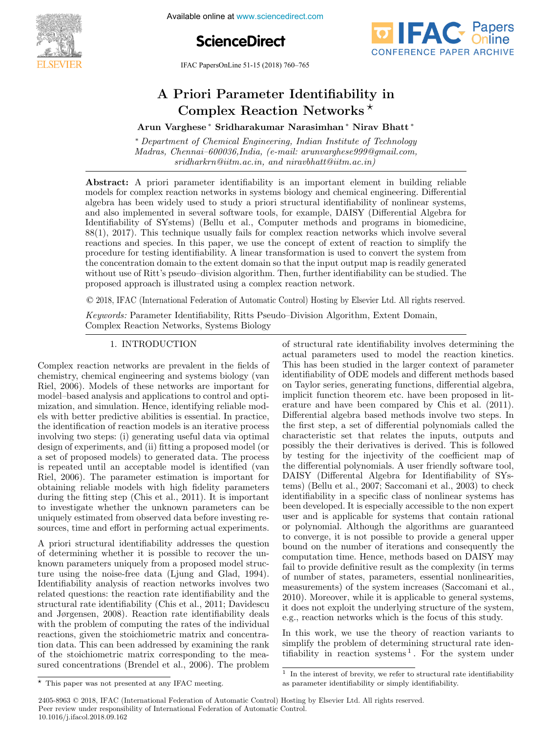

**Proceedings,18th IFAC System Identification**<br> **Proceeding System Integration**<br> **Proceedings** 





IFAC PapersOnLine 51-15 (2018) 760–765

### A Priori Parameter Identifiability in Priori Parameter Identifiability A Priori Parameter Identifiability in Arun Varian variant ∗ Nirav Bhatter Networks <sup>★</sup> Nirav Bhatter ∗ Nirav Bhatter ∗ Nirav Bhatt ∗ Nirav Bhatt ∗ Nirav Bhatt ∗ Nirav Bhatter ∗ Nirav Bhatter ∗ Nirav Bhatter ∗ Nirav Bhatter ∗ Nirav Bhatter ∗ Nirav Bhatter ∗ Ni A Priori Parameter Identifiability in

A Priori Parameter Identifiability in

Arun Varghese \* Sridharakumar Narasimhan \* Nirav Bhatt \*<br>\* Department of Chemical Engineering, Indian Institute of Technology

<sup>∗</sup> Department of Chemical Engineering, Indian Institute of Technology <sup>∗</sup> Department of Chemical Engineering, Indian Institute of Technology Madras, Chennai–600036,India, (e-mail: arunvarghese999@gmail.com, Madras, Chennai–600036,India, (e-mail: arunvarghese999@gmail.com, sridharkrn@iitm.ac.in, and niravbhatt@iitm.ac.in) sridharkrn@iitm.ac.in, and niravbhatt@iitm.ac.in) + Person variance ∗ Sridharakumar Narasimhan ∗ Nirav Bhatt ← Nirav Bhatt ← Nirav Bhatt ← Nirav Bhatt ← Nirav Bhatt ← Nirav Bhatt ← Nirav Bhatt ← Nirav Bhatt ← Nirav Bhatt ← Nirav Bhatt ← Nirav Bhatt ← Nirav Bhatt ← Nirav Madras, Chennai–600036,India, (e-mail: arunvarghese999@gmail.com, <sup>∗</sup> Department of Chemical Engineering, Indian Institute of Technology sridharkrn@iitm.ac.in, and niravbhatt@iitm.ac.in) Madras, Chennai–600036,India, (e-mail: arunvarghese999@gmail.com, sridharkrnaich, and niravbhatta completely  $Maaras, \text{ One} nna1-b00030, \text{In} aia, \text{ (}e\text{-}mau: \text{} arunvarg nese99999$  and  $con, \text{...}$  $s$  and  $\kappa$  neural, acting, and an avenuate annius  $\kappa$ 

Abstract. A priori parameter identifiability is an important element in building reliable<br>models for complex reaction networks in systems biology and chemical engineering. Differential algebra has been widely used to study a priori structural identifiability of nonlinear systems, anglebra has been wheley used to study a priori structural rechtmability of hominear systems,<br>and also implemented in several software tools, for example, DAISY (Differential Algebra for Identifiability of SYstems) (Bellu et al., Computer methods and programs in biomedicine, Relationship of ST stells) (Bend et al., Computer methods and programs in biometicine,<br>88(1), 2017). This technique usually fails for complex reaction networks which involve several  $\cos(1)$ ,  $2017$ . This technique usually falls for complex reaction hetworks which involve several<br>reactions and species. In this paper, we use the concept of extent of reaction to simplify the<br>procedure for testing identi procedure for testing identifiability. A linear transformation is used to convert the system from the concentration domain to the extent domain so that the input output map is readily generated without use of Ritt's pseudo-division algorithm. Then, further identifiability can be studied. The without use of Rittle spectrum algorithm. Then, further identifiability can be studied. The proposed approach is illustrated using a complex reaction network. Abstract: A priori parameter identifiability is an important element in building reliable algebra has been widely used to study a priori structural identifiability of nonlinear systems,<br>algebra has been widely used to study a priori structural identifiability of nonlinear systems,<br>and also implemented in severa proposed approach is illustrated using a complex reaction network. and also implemented in several software tools, for example, DAISY (Differential Algebra for Identifiability of SYstems) (Bellu et al., Computer methods and programs in biomedicine,

© 2018, IFAC (International Federation of Automatic Control) Hosting by Elsevier Ltd. All rights reserved.  $p_{\text{max}}$  is illustrated using a complex reaction network.  $\sim$  2010, If the problems Pseudovicity of Habshared–Oilator, Richards,  $\frac{1}{2}$  2007 of Domain, Extent Domain, Extending o 2018. IEAC (International Ecderation of Automatic Central) Hesting by Flequier Itd. All rights recepted.  $\heartsuit$  2018, IFAC (International Federation of Automatic Control) Hosting by F

*Keywords:* Parameter Identifiability, Ritts Pseudo-Division Algorithm, Extent Domain, Complex Reaction Networks, Systems Biology Complex Reaction Networks, Systems Biology Complex Reaction Networks, Systems Biology Keywords: Parameter Identifiability, Ritts Pseudo–Division Algorithm, Extent Domain,

#### 1. INTRODUCTION 1. INTRODUCTION 1. INTRODUCTION 1. INTRODUCTION Complex Reaction Networks, Systems Biology

Complex reaction networks are prevalent in the fields of complex reaction networks are prevaient in the networks of<br>chemistry, chemical engineering and systems biology (van Riel, 2006). Models of these networks are important for chemistry, chemical engineering and systems biology (van Riel, 2006). Models of these networks are important for model-based analysis and applications to control and optimoder-based analysis and applications to control and opti-<br>mization, and simulation. Hence, identifying reliable models with better predictive abilities is essential. In practice, the identification of reaction models is an iterative process involving two steps: (i) generating useful data via optimal<br>design of experiments, and (ii) fitting a proposed model (or<br>a set of proposed models) to spaceted data. The process design of experiments, and (ii) fitting a proposed model (or a set of proposed models) to generated data. The process a set of proposed models) to generated data. The process<br>is repeated until an acceptable model is identified (van  $Riel, 2006$ . The parameter estimation is intentional values<br> $Riel, 2006$ . The parameter estimation is important for obtaining reliable models with high fidelity parameters Riel, 2006). The parameter estimation is important for obtaining reliable models with high fidelity parameters Riel, 2006). The parameter estimation is important for obtaining reliable models with light identy parameters<br>during the fitting step (Chis et al., 2011). It is important<br>to investigate whether the unknown parameters can be<br>uniquely estimated from observed data before investin to investigate whether the unknown parameters can be to investigate whether the unknown parameters can be<br>uniquely estimated from observed data before investing reuniquely estimated from observed data before investing re-<br>sources, time and effort in performing actual experiments. sources, time and effort in performing actual experiments. sources, time and effort in performing actual experiments. sources, time and effort in performing actual experiments. uniquely estimated from observed data before investing re-Complex reaction networks are prevalent in the fields of<br>chemistry, chemical engineering and systems biology (van<br>Riel, 2006). Models of these networks are important for<br>model–based analysis and applications to control and chemistry, chemical engineering and systems bloogy (van<br>Riel. 2006). Models of these networks are important for sources, time and effort in performing actual experiments. The contract in performing actual experiments. sources, time and enort in performing actual experiments.

A priori structural identifiability addresses the question A priori structural identifiability addresses the question A priori structural identifiability addresses the question of determining whether it is possible to recover the unor determining whether it is possible to recover the unknown parameters uniquely from a proposed model structure using the noise-free data (Ljung and Glad, 1994). dentifiability analysis of reaction networks involves two related questions: the reaction rate identifiability and the erated questions, the reaction rate identifiability and the<br>structural rate identifiability (Chis et al., 2011; Davidescu and Jørgensen, 2008). Reaction rate identifiability deals and Jørgensen, 2008). Reaction rate identifiability deals with the problem of computing the rates of the mulvidual<br>reactions, given the stoichiometric matrix and concentrareactions, given the storthometric matrix and concentra-<br>tion data. This can been addressed by examining the rank of the stoichiometric matrix corresponding to the meaof the stoichiometric matrix corresponding to the mea-<br>sured concentrations (Brendel et al., 2006). The problem sured concentrations (Brender et al., 2000). The problem sured concentrations (Brendel et al., 2006). The problem ture using the noise-free data (Ljung and Glad, 1994).<br>Identifiability analysis of reaction networks involves two<br>related questions: the reaction rate identifiability and the<br>structural rate identifiability (Chis et al., 2 and Jørgensen, 2000). Reaction rate identifiability deals<br>with the problem of computing the rates of the individual  $\frac{1}{2}$ A priori structural identifiability addresses the question of the stoleholicitie matrix corresponding to the measured concentrations (Diender et al.,  $2000$ ). The problem of structural rate identifiability involves determining the of structural rate identifiability involves determining the of structural rate identifiability involves determining the or structural rate dentifiability involves determining the<br>actual parameters used to model the reaction kinetics. This has been studied in the larger context of parameters.<br>This has been studied in the larger context of parameters identifiability of ODE models and different methods based on Taylor series, generating functions, differential algebra, on Taylor series, generating functions, unterential algebra,<br>implicit function theorem etc. have been proposed in literature and have been compared by Chis et al. (2011). Differential algebra based methods involve two steps. In Differential algebra based includes involve two steps. In<br>the first step, a set of differential polynomials called the characteristic set that relates the inputs, outputs and possibly the their derivatives is derived. This is followed by testing for the injectivity of the coefficient map of<br>the differential polynomials. A user friendly setting tool by testing for the injectivity of the coefficient map of the differential polynomials. A user friendly software tool, DAISY (Differential Algebra for Identifiability of SYS-<br>LONGY (Differential Algebra for Identifiability of SYS-LAD 1 (Differential Algebra for Reinfilability of 515-<br>tems) (Bellu et al., 2007; Saccomani et al., 2003) to check identifiability in a specific class of nonlinear systems has been developed. It is especially accessible to the non expert user and is applicable for systems that contain rational been developed. It is especially accessible to the non expert user and is applicable for systems that contain rational user and is applicable for systems that contain rational or polynomial. Although the algorithms are guaranteed to converge, it is not possible to provide a general upper to converge, it is not possible to provide a general upper<br>bound on the number of iterations and consequently the computation time. Hence, methods based on DAISY may fail to provide definitive result as the complexity (in terms<br>fail to provide definitive result as the complexity (in terms of number of states, parameters, essential nonlinearities, or number of states, parameters, essentiar nonmearties,<br>measurements) of the system increases (Saccomani et al., 2010). Moreover, while it is applicable to general systems,<br>it does not exploit the underlying structure of the systems, zoro). Moreover, while it is applicable to general systems,<br>it does not exploit the underlying structure of the system, e.g., reaction networks which is the focus of this study. it does not exploit the underlying structure of the system, the differential polynomials. A user friendly software tool, e.g., reaction networks which is the focus of this study. by testing for the injectivity of the coefficient map of the differential polynomials. A user friendly software tool, e.g., reaction networks which is the focus of this study. tems) (Bellu et al., 2007; Saccomani et al., 2003) to check<br>identifiability in a specific class of nonlinear systems has<br>been developed. It is especially accessible to the non expert<br>user and is applicable for systems that been developed. It is especially accessible to the non expert<br>user and is applicable for systems that contain rational<br> e.g., reaction networks which is the focus of this study.  $\alpha$ <sub>i</sub>e, reaction networks which is the locus of this study.

In this work, we use the theory of reaction variants to In this work, we use the theory of reaction variants to simplify the problem of determining structural rate idensimplify the problem of determining structural rate identifiability in reaction systems<sup>1</sup>. For the system under tifiability in reaction systems <sup>1</sup>. For the system under simplify the problem of determining structural rate identifiability in reaction systems  $\frac{1}{1}$ . For the system under tifiability in reaction systems 1 rol the system under In this work, we use the theory of reaction variants  $\frac{1}{16}$  in the problem of use thinking structural rate rushsimaling in reaction systems . For the system under

2405-8963 © 2018, IFAC (International Federation of Automatic Control) Hosting by Elsevier Ltd. All rights reserved. Peer review under responsibility of International Federation of Automatic Control. 10.1016/j.ifacol.2018.09.162 **Constructed Constructed 760** 

 $^\star\,$  This paper was not presented at any IFAC meeting.  $\star$  This paper was not presented at any IFAC meeting.  $\star$  This paper was not presented at any IFAC meeting.

<sup>&</sup>lt;sup>1</sup> In the interest of brevity, we refer to structural rate identifiability  $\alpha$  negative identifiability or simply identifiability. as parameter identifiability or simply identifiability. as parameter identifiability or simply identifiability. <sup>1</sup> In the interest of brevity, we refer to structural rate identifiability <sup>1</sup> In the interest of brevity, we refer to structural rate identifiability tifiability in reaction systems <sup>1</sup> . For the system under In the interest or brevity, we refer to structural rate identifiability. as parameter identifiability of simply identifiability.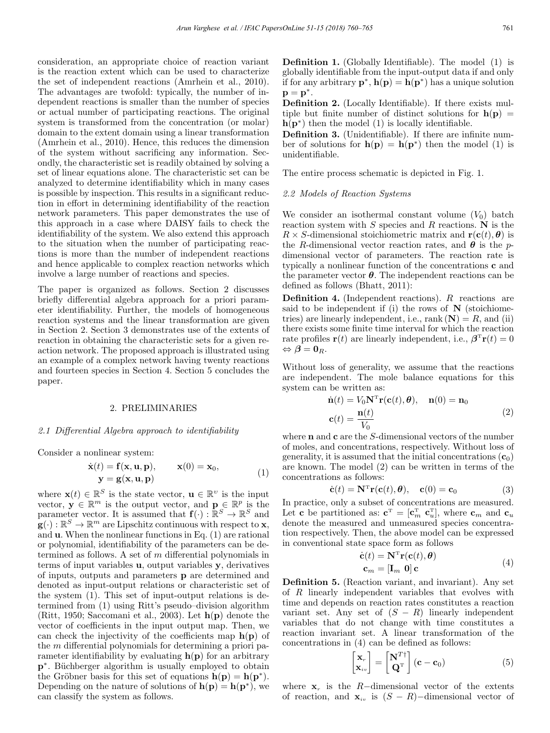consideration, an appropriate choice of reaction variant is the reaction extent which can be used to characterize the set of independent reactions (Amrhein et al., 2010). The advantages are twofold: typically, the number of independent reactions is smaller than the number of species or actual number of participating reactions. The original system is transformed from the concentration (or molar) domain to the extent domain using a linear transformation (Amrhein et al., 2010). Hence, this reduces the dimension of the system without sacrificing any information. Secondly, the characteristic set is readily obtained by solving a set of linear equations alone. The characteristic set can be analyzed to determine identifiability which in many cases is possible by inspection. This results in a significant reduction in effort in determining identifiability of the reaction network parameters. This paper demonstrates the use of this approach in a case where DAISY fails to check the identifiability of the system. We also extend this approach to the situation when the number of participating reactions is more than the number of independent reactions and hence applicable to complex reaction networks which involve a large number of reactions and species.

The paper is organized as follows. Section 2 discusses briefly differential algebra approach for a priori parameter identifiability. Further, the models of homogeneous reaction systems and the linear transformation are given in Section 2. Section 3 demonstrates use of the extents of reaction in obtaining the characteristic sets for a given reaction network. The proposed approach is illustrated using an example of a complex network having twenty reactions and fourteen species in Section 4. Section 5 concludes the paper.

### 2. PRELIMINARIES

### 2.1 Differential Algebra approach to identifiability

Consider a nonlinear system:

$$
\dot{\mathbf{x}}(t) = \mathbf{f}(\mathbf{x}, \mathbf{u}, \mathbf{p}), \qquad \mathbf{x}(0) = \mathbf{x}_0, \mathbf{y} = \mathbf{g}(\mathbf{x}, \mathbf{u}, \mathbf{p})
$$
\n(1)

where  $\mathbf{x}(t) \in \mathbb{R}^S$  is the state vector,  $\mathbf{u} \in \mathbb{R}^v$  is the input vector,  $\mathbf{y} \in \mathbb{R}^m$  is the output vector, and  $\mathbf{p} \in \mathbb{R}^p$  is the parameter vector. It is assumed that  $\mathbf{f}(\cdot) : \mathbb{R}^S \to \mathbb{R}^S$  and  $\mathbf{g}(\cdot): \mathbb{R}^S \to \mathbb{R}^m$  are Lipschitz continuous with respect to **x**, and u. When the nonlinear functions in Eq. (1) are rational or polynomial, identifiability of the parameters can be determined as follows. A set of  $m$  differential polynomials in terms of input variables u, output variables y, derivatives of inputs, outputs and parameters p are determined and denoted as input-output relations or characteristic set of the system (1). This set of input-output relations is determined from (1) using Ritt's pseudo–division algorithm (Ritt, 1950; Saccomani et al., 2003). Let  $h(p)$  denote the vector of coefficients in the input output map. Then, we can check the injectivity of the coefficients map  $h(p)$  of the m differential polynomials for determining a priori parameter identifiability by evaluating  $h(p)$  for an arbitrary p<sup>∗</sup>. Büchberger algorithm is usually employed to obtain the Gröbner basis for this set of equations  $h(\mathbf{p}) = h(\mathbf{p}^*)$ . Depending on the nature of solutions of  $h(p) = h(p^*)$ , we can classify the system as follows.

Definition 1. (Globally Identifiable). The model (1) is globally identifiable from the input-output data if and only if for any arbitrary  $\mathbf{p}^*$ ,  $\mathbf{h}(\mathbf{p}) = \mathbf{h}(\mathbf{p}^*)$  has a unique solution  $\mathbf{p} = \mathbf{p}^*$ .

Definition 2. (Locally Identifiable). If there exists multiple but finite number of distinct solutions for  $h(p)$  =  $h(p^*)$  then the model (1) is locally identifiable.

Definition 3. (Unidentifiable). If there are infinite number of solutions for  $h(p) = h(p^*)$  then the model (1) is unidentifiable.

The entire process schematic is depicted in Fig. 1.

### 2.2 Models of Reaction Systems

We consider an isothermal constant volume  $(V_0)$  batch reaction system with  $S$  species and  $R$  reactions. N is the  $R \times S$ -dimensional stoichiometric matrix and  $\mathbf{r}(\mathbf{c}(t), \boldsymbol{\theta})$  is the R-dimensional vector reaction rates, and  $\theta$  is the pdimensional vector of parameters. The reaction rate is typically a nonlinear function of the concentrations c and the parameter vector  $\theta$ . The independent reactions can be defined as follows (Bhatt, 2011):

**Definition 4.** (Independent reactions).  $R$  reactions are said to be independent if (i) the rows of  $N$  (stoichiometries) are linearly independent, i.e., rank  $(N) = R$ , and (ii) there exists some finite time interval for which the reaction rate profiles  $\mathbf{r}(t)$  are linearly independent, i.e.,  $\boldsymbol{\beta}^{\mathrm{T}}\mathbf{r}(t)=0$  $\Leftrightarrow$   $\boldsymbol{\beta} = \mathbf{0}_R$ .

Without loss of generality, we assume that the reactions are independent. The mole balance equations for this system can be written as:

$$
\dot{\mathbf{n}}(t) = V_0 \mathbf{N}^{\mathrm{T}} \mathbf{r}(\mathbf{c}(t), \boldsymbol{\theta}), \quad \mathbf{n}(0) = \mathbf{n}_0
$$
  

$$
\mathbf{c}(t) = \frac{\mathbf{n}(t)}{V_0}
$$
 (2)

where  $n$  and  $c$  are the S-dimensional vectors of the number of moles, and concentrations, respectively. Without loss of generality, it is assumed that the initial concentrations  $(c_0)$ are known. The model (2) can be written in terms of the concentrations as follows:

$$
\dot{\mathbf{c}}(t) = \mathbf{N}^{\mathrm{T}} \mathbf{r}(\mathbf{c}(t), \boldsymbol{\theta}), \quad \mathbf{c}(0) = \mathbf{c}_0 \tag{3}
$$

In practice, only a subset of concentrations are measured. Let **c** be partitioned as:  $\mathbf{c}^{\text{T}} = [\mathbf{c}_m^{\text{T}} \ \mathbf{c}_u^{\text{T}}]$ , where  $\mathbf{c}_m$  and  $\mathbf{c}_u$ denote the measured and unmeasured species concentration respectively. Then, the above model can be expressed in conventional state space form as follows

$$
\dot{\mathbf{c}}(t) = \mathbf{N}^{\mathrm{T}} \mathbf{r}(\mathbf{c}(t), \boldsymbol{\theta})
$$
  

$$
\mathbf{c}_m = [\mathbf{I}_m \ \mathbf{0}] \mathbf{c}
$$
 (4)

Definition 5. (Reaction variant, and invariant). Any set of R linearly independent variables that evolves with time and depends on reaction rates constitutes a reaction variant set. Any set of  $(S - R)$  linearly independent variables that do not change with time constitutes a reaction invariant set. A linear transformation of the concentrations in (4) can be defined as follows:

$$
\begin{bmatrix} \mathbf{x}_r \\ \mathbf{x}_{iv} \end{bmatrix} = \begin{bmatrix} \mathbf{N}^{T\dagger} \\ \mathbf{Q}^T \end{bmatrix} (\mathbf{c} - \mathbf{c}_0)
$$
 (5)

where  $\mathbf{x}_r$  is the R−dimensional vector of the extents of reaction, and  $\mathbf{x}_{iv}$  is  $(S - R)$ –dimensional vector of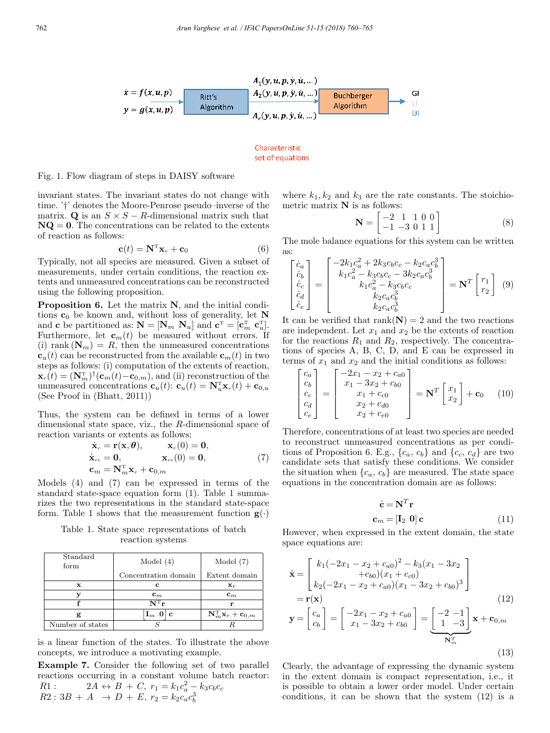

Characteristic set of equations

# Fig. 1. Flow diagram of steps in DAISY software

invariant states. The invariant states do not change with time. '†' denotes the Moore-Penrose pseudo–inverse of the matrix. Q is an  $S \times S - R$ -dimensional matrix such that  $NQ = 0$ . The concentrations can be related to the extents of reaction as follows:

$$
\mathbf{c}(t) = \mathbf{N}^{\mathrm{T}} \mathbf{x}_r + \mathbf{c}_0 \tag{6}
$$

Typically, not all species are measured. Given a subset of measurements, under certain conditions, the reaction extents and unmeasured concentrations can be reconstructed using the following proposition.

Proposition 6. Let the matrix N, and the initial conditions  $c_0$  be known and, without loss of generality, let N and **c** be partitioned as:  $N = [N_m \ N_u]$  and  $\mathbf{c}^T = [\mathbf{c}_m^T \ \mathbf{c}_u^T]$ . Furthermore, let  $\mathbf{c}_m(t)$  be measured without errors. If (i) rank  $(\mathbf{N}_m) = R$ , then the unmeasured concentrations  $\mathbf{c}_u(t)$  can be reconstructed from the available  $\mathbf{c}_m(t)$  in two steps as follows: (i) computation of the extents of reaction,  $\mathbf{x}_r(t) = (\mathbf{N}_m^{\mathrm{T}})^{\dagger}(\mathbf{c}_m(t)-\mathbf{c}_{0,m})$ , and (ii) reconstruction of the unmeasured concentrations  $\mathbf{c}_u(t)$ :  $\mathbf{c}_u(t) = \mathbf{N}_u^{\mathrm{T}} \mathbf{x}_r(t) + \mathbf{c}_{0,u}$ (See Proof in (Bhatt, 2011))

Thus, the system can be defined in terms of a lower dimensional state space, viz., the R-dimensional space of reaction variants or extents as follows:

$$
\dot{\mathbf{x}}_r = \mathbf{r}(\mathbf{x}, \boldsymbol{\theta}), \qquad \mathbf{x}_r(0) = \mathbf{0}, \n\dot{\mathbf{x}}_{iv} = \mathbf{0}, \qquad \mathbf{x}_{iv}(0) = \mathbf{0}, \n\mathbf{c}_m = \mathbf{N}_m^{\mathrm{T}} \mathbf{x}_r + \mathbf{c}_{0,m}
$$
\n(7)

Models (4) and (7) can be expressed in terms of the standard state-space equation form (1). Table 1 summarizes the two representations in the standard state-space form. Table 1 shows that the measurement function  $g(\cdot)$ 

Table 1. State space representations of batch reaction systems

| Standard<br>form | Model $(4)$                      | Model $(7)$                                               |  |  |
|------------------|----------------------------------|-----------------------------------------------------------|--|--|
|                  | Concentration domain             | Extent domain                                             |  |  |
| x                | с                                | $\mathbf{x}_r$                                            |  |  |
|                  | $\mathbf{c}_m$                   | $\mathbf{c}_m$                                            |  |  |
|                  | $N^{\mathrm{T}}$ r               | r                                                         |  |  |
|                  | $\mathbf{I}_m$ 0<br>$\mathbf{c}$ | $\mathbf{N}^\mathrm{T}_m \mathbf{x}_r + \mathbf{c}_{0,m}$ |  |  |
| Number of states |                                  |                                                           |  |  |

is a linear function of the states. To illustrate the above concepts, we introduce a motivating example.

Example 7. Consider the following set of two parallel reactions occurring in a constant volume batch reactor: R1:  $2A \leftrightarrow B + C, r_1 = k_1 c_a^2 - k_3 c_b c_c$  $R2: 3B + A \rightarrow D + E, r_2 = k_2 c_a c_b^3$ 

where  $k_1, k_2$  and  $k_3$  are the rate constants. The stoichiometric matrix  $N$  is as follows:

$$
\mathbf{N} = \begin{bmatrix} -2 & 1 & 1 & 0 & 0 \\ -1 & -3 & 0 & 1 & 1 \end{bmatrix} \tag{8}
$$

The mole balance equations for this system can be written as:

$$
\begin{bmatrix}\n\dot{c}_a \\
\dot{c}_b \\
\dot{c}_c \\
\dot{c}_e \\
\dot{c}_e\n\end{bmatrix} = \begin{bmatrix}\n-2k_1c_a^2 + 2k_3c_bc_c - k_2c_a c_b^3 \\
k_1c_a^2 - k_3c_bc_c - 3k_2c_a c_b^3 \\
k_1c_a^2 - k_3c_bc_c \\
k_2c_a c_b^3 \\
k_2c_a c_b^3\n\end{bmatrix} = \mathbf{N}^T \begin{bmatrix} r_1 \\ r_2 \end{bmatrix} \tag{9}
$$

It can be verified that  $rank(N) = 2$  and the two reactions are independent. Let  $x_1$  and  $x_2$  be the extents of reaction for the reactions  $R_1$  and  $R_2$ , respectively. The concentrations of species A, B, C, D, and E can be expressed in terms of  $x_1$  and  $x_2$  and the initial conditions as follows:

$$
\begin{bmatrix} c_a \\ c_b \\ c_c \\ c_d \\ c_e \end{bmatrix} = \begin{bmatrix} -2x_1 - x_2 + c_{a0} \\ x_1 - 3x_2 + c_{b0} \\ x_1 + c_{c0} \\ x_2 + c_{d0} \\ x_2 + c_{e0} \end{bmatrix} = \mathbf{N}^T \begin{bmatrix} x_1 \\ x_2 \end{bmatrix} + \mathbf{c}_0 \quad (10)
$$

Therefore, concentrations of at least two species are needed to reconstruct unmeasured concentrations as per conditions of Proposition 6. E.g.,  $\{c_a, c_b\}$  and  $\{c_c, c_d\}$  are two candidate sets that satisfy these conditions. We consider the situation when  ${c_a, c_b}$  are measured. The state space equations in the concentration domain are as follows:

$$
\dot{\mathbf{c}} = \mathbf{N}^T \mathbf{r}
$$

$$
\mathbf{c}_m = [\mathbf{I}_2 \ \mathbf{0}] \mathbf{c}
$$
(11)

However, when expressed in the extent domain, the state space equations are:

$$
\dot{\mathbf{x}} = \begin{bmatrix} k_1(-2x_1 - x_2 + c_{a0})^2 - k_3(x_1 - 3x_2 \\ +c_{b0})(x_1 + c_{c0}) \\ k_2(-2x_1 - x_2 + c_{a0})(x_1 - 3x_2 + c_{b0})^3 \end{bmatrix}
$$
  
=  $\mathbf{r}(\mathbf{x})$  (12)  

$$
\mathbf{y} = \begin{bmatrix} c_a \\ c_b \end{bmatrix} = \begin{bmatrix} -2x_1 - x_2 + c_{a0} \\ x_1 - 3x_2 + c_{b0} \end{bmatrix} = \begin{bmatrix} -2 & -1 \\ 1 & -3 \end{bmatrix} \mathbf{x} + \mathbf{c}_{0,m}
$$
  

$$
\overline{\mathbf{N}_m^T}
$$
 (13)

Clearly, the advantage of expressing the dynamic system in the extent domain is compact representation, i.e., it is possible to obtain a lower order model. Under certain conditions, it can be shown that the system (12) is a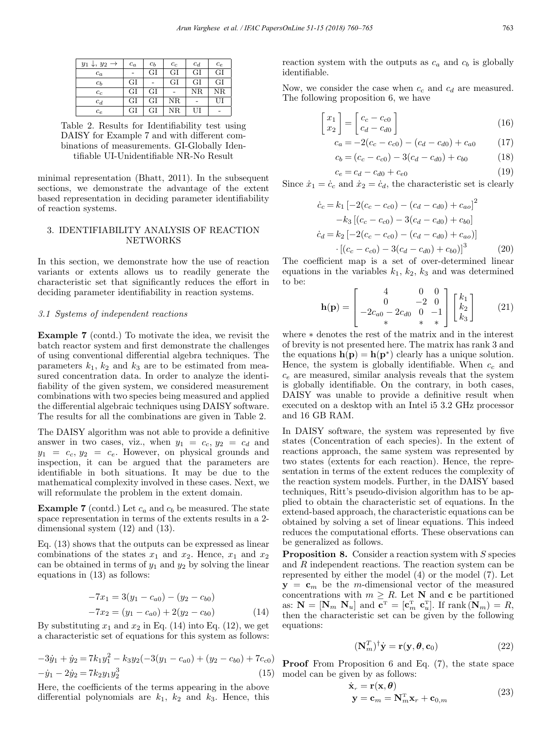| $y_1, y_2 \rightarrow$ | $c_a$ | $c_b$ | $c_c$ | $c_d$       | $c_e$ |
|------------------------|-------|-------|-------|-------------|-------|
| $c_a$                  |       | GI    | GI    | GI          | GI    |
| $c_b$                  | GI    |       | GI    | GI          | GI    |
| $c_c$                  | GI    | GI    |       | $_{\rm NR}$ | NR    |
| $c_d$                  | GI    | GI    | NR    |             | UI    |
| $c_e$                  | GI    | GI    | NR    | UI          |       |

Table 2. Results for Identifiability test using DAISY for Example 7 and with different combinations of measurements. GI-Globally Identifiable UI-Unidentifiable NR-No Result

minimal representation (Bhatt, 2011). In the subsequent sections, we demonstrate the advantage of the extent based representation in deciding parameter identifiability of reaction systems.

# 3. IDENTIFIABILITY ANALYSIS OF REACTION NETWORKS

In this section, we demonstrate how the use of reaction variants or extents allows us to readily generate the characteristic set that significantly reduces the effort in deciding parameter identifiability in reaction systems.

### 3.1 Systems of independent reactions

Example 7 (contd.) To motivate the idea, we revisit the batch reactor system and first demonstrate the challenges of using conventional differential algebra techniques. The parameters  $k_1$ ,  $k_2$  and  $k_3$  are to be estimated from measured concentration data. In order to analyze the identifiability of the given system, we considered measurement combinations with two species being measured and applied the differential algebraic techniques using DAISY software. The results for all the combinations are given in Table 2.

The DAISY algorithm was not able to provide a definitive answer in two cases, viz., when  $y_1 = c_c, y_2 = c_d$  and  $y_1 = c_c, y_2 = c_e$ . However, on physical grounds and inspection, it can be argued that the parameters are identifiable in both situations. It may be due to the mathematical complexity involved in these cases. Next, we will reformulate the problem in the extent domain.

**Example 7** (contd.) Let  $c_a$  and  $c_b$  be measured. The state space representation in terms of the extents results in a 2 dimensional system (12) and (13).

Eq. (13) shows that the outputs can be expressed as linear combinations of the states  $x_1$  and  $x_2$ . Hence,  $x_1$  and  $x_2$ can be obtained in terms of  $y_1$  and  $y_2$  by solving the linear equations in (13) as follows:

$$
-7x_1 = 3(y_1 - c_{a0}) - (y_2 - c_{b0})
$$
  

$$
-7x_2 = (y_1 - c_{a0}) + 2(y_2 - c_{b0})
$$
 (14)

By substituting  $x_1$  and  $x_2$  in Eq. (14) into Eq. (12), we get a characteristic set of equations for this system as follows:

$$
-3\dot{y}_1 + \dot{y}_2 = 7k_1y_1^2 - k_3y_2(-3(y_1 - c_{a0}) + (y_2 - c_{b0}) + 7c_{c0})
$$
  

$$
-\dot{y}_1 - 2\dot{y}_2 = 7k_2y_1y_2^3
$$
 (15)

Here, the coefficients of the terms appearing in the above differential polynomials are  $k_1$ ,  $k_2$  and  $k_3$ . Hence, this reaction system with the outputs as  $c_a$  and  $c_b$  is globally identifiable.

Now, we consider the case when  $c_c$  and  $c_d$  are measured. The following proposition 6, we have

$$
\begin{bmatrix} x_1 \\ x_2 \end{bmatrix} = \begin{bmatrix} c_c - c_{c0} \\ c_d - c_{d0} \end{bmatrix}
$$
 (16)

$$
c_a = -2(c_c - c_{c0}) - (c_d - c_{d0}) + c_{a0} \tag{17}
$$

$$
c_b = (c_c - c_{c0}) - 3(c_d - c_{d0}) + c_{b0} \tag{18}
$$

$$
c_e = c_d - c_{d0} + c_{e0} \tag{19}
$$

Since  $\dot{x}_1 = \dot{c}_c$  and  $\dot{x}_2 = \dot{c}_d$ , the characteristic set is clearly

$$
\dot{c}_c = k_1 \left[ -2(c_c - c_{c0}) - (c_d - c_{d0}) + c_{ao} \right]^2
$$

$$
-k_3 \left[ (c_c - c_{c0}) - 3(c_d - c_{d0}) + c_{bo} \right]
$$

$$
\dot{c}_d = k_2 \left[ -2(c_c - c_{c0}) - (c_d - c_{d0}) + c_{ao} \right]
$$

$$
\cdot \left[ (c_c - c_{c0}) - 3(c_d - c_{d0}) + c_{bo} \right]^3 \tag{20}
$$

The coefficient map is a set of over-determined linear equations in the variables  $k_1, k_2, k_3$  and was determined to be:

$$
\mathbf{h}(\mathbf{p}) = \begin{bmatrix} 4 & 0 & 0 \\ 0 & -2 & 0 \\ -2c_{a0} - 2c_{d0} & 0 & -1 \\ * & * & * \end{bmatrix} \begin{bmatrix} k_1 \\ k_2 \\ k_3 \end{bmatrix}
$$
 (21)

where ∗ denotes the rest of the matrix and in the interest of brevity is not presented here. The matrix has rank 3 and the equations  $h(p) = h(p^*)$  clearly has a unique solution. Hence, the system is globally identifiable. When  $c_c$  and  $c_e$  are measured, similar analysis reveals that the system is globally identifiable. On the contrary, in both cases, DAISY was unable to provide a definitive result when executed on a desktop with an Intel i5 3.2 GHz processor and 16 GB RAM.

In DAISY software, the system was represented by five states (Concentration of each species). In the extent of reactions approach, the same system was represented by two states (extents for each reaction). Hence, the representation in terms of the extent reduces the complexity of the reaction system models. Further, in the DAISY based techniques, Ritt's pseudo-division algorithm has to be applied to obtain the characteristic set of equations. In the extend-based approach, the characteristic equations can be obtained by solving a set of linear equations. This indeed reduces the computational efforts. These observations can be generalized as follows.

**Proposition 8.** Consider a reaction system with S species and R independent reactions. The reaction system can be represented by either the model (4) or the model (7). Let  $y = c_m$  be the m-dimensional vector of the measured concentrations with  $m \geq R$ . Let N and c be partitioned as:  $\mathbf{N} = [\mathbf{N}_m \ \mathbf{N}_u]$  and  $\mathbf{c}^{\mathrm{T}} = [\mathbf{c}_m^{\mathrm{T}} \ \mathbf{c}_u^{\mathrm{T}}]$ . If  $\mathrm{rank}(\mathbf{N}_m) = R$ , then the characteristic set can be given by the following equations:

$$
(\mathbf{N}_m^T)^\dagger \dot{\mathbf{y}} = \mathbf{r}(\mathbf{y}, \boldsymbol{\theta}, \mathbf{c}_0) \tag{22}
$$

Proof From Proposition 6 and Eq. (7), the state space model can be given by as follows:

$$
\dot{\mathbf{x}}_r = \mathbf{r}(\mathbf{x}, \boldsymbol{\theta})
$$
  
\n
$$
\mathbf{y} = \mathbf{c}_m = \mathbf{N}_m^{\mathrm{T}} \mathbf{x}_r + \mathbf{c}_{0,m}
$$
 (23)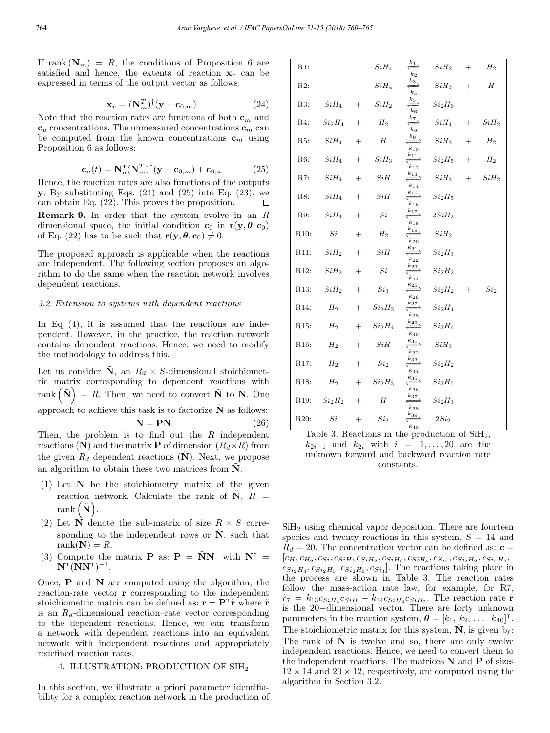If rank  $(N_m) = R$ , the conditions of Proposition 6 are satisfied and hence, the extents of reaction  $x_r$  can be expressed in terms of the output vector as follows:

$$
\mathbf{x}_r = (\mathbf{N}_m^T)^\dagger (\mathbf{y} - \mathbf{c}_{0,m}) \tag{24}
$$

Note that the reaction rates are functions of both  $\mathbf{c}_m$  and  **concentrations. The unmeasured concentrations**  $**c**<sub>m</sub>$  **can** be computed from the known concentrations  $\mathbf{c}_m$  using Proposition 6 as follows:

$$
\mathbf{c}_u(t) = \mathbf{N}_u^{\mathrm{T}} (\mathbf{N}_m^T)^{\dagger} (\mathbf{y} - \mathbf{c}_{0,m}) + \mathbf{c}_{0,u} \tag{25}
$$

Hence, the reaction rates are also functions of the outputs y. By substituting Eqs.  $(24)$  and  $(25)$  into Eq.  $(23)$ , we can obtain Eq. (22). This proves the proposition.  $\Box$ Remark 9. In order that the system evolve in an R dimensional space, the initial condition  $\mathbf{c}_0$  in  $\mathbf{r}(\mathbf{y}, \boldsymbol{\theta}, \mathbf{c}_0)$ of Eq. (22) has to be such that  $\mathbf{r}(\mathbf{y}, \boldsymbol{\theta}, \mathbf{c}_0) \neq 0$ .

The proposed approach is applicable when the reactions are independent. The following section proposes an algorithm to do the same when the reaction network involves dependent reactions.

### 3.2 Extension to systems with dependent reactions

In Eq  $(4)$ , it is assumed that the reactions are independent. However, in the practice, the reaction network contains dependent reactions. Hence, we need to modify the methodology to address this.

Let us consider N, an  $R_d \times S$ -dimensional stoichiometric matrix corresponding to dependent reactions with rank  $(N) = R$ . Then, we need to convert  $N$  to N. One approach to achieve this task is to factorize  $\tilde{N}$  as follows:  $N = PN$  (26)

Then, the problem is to find out the  $R$  independent reactions (N) and the matrix **P** of dimension  $(R_d \times R)$  from the given  $R_d$  dependent reactions (N). Next, we propose an algorithm to obtain these two matrices from  $N$ .

- (1) Let  $N$  be the stoichiometry matrix of the given reaction network. Calculate the rank of  $\tilde{N}$ ,  $R =$  $rank(\tilde{\mathbf{N}}).$
- (2) Let  $\overrightarrow{\bf N}$  denote the sub-matrix of size  $R \times S$  corresponding to the independent rows or  $\tilde{N}$ , such that rank $(N) = R$ .
- (3) Compute the matrix **P** as:  $\mathbf{P} = \tilde{\mathbf{N}}\mathbf{N}^{\dagger}$  with  $\mathbf{N}^{\dagger} =$  $N^{T}(NN^{T})^{-1}$ .

Once,  $P$  and  $N$  are computed using the algorithm, the reaction-rate vector r corresponding to the independent stoichiometric matrix can be defined as:  $\mathbf{r} = \mathbf{P}^T \tilde{\mathbf{r}}$  where  $\tilde{\mathbf{r}}$ is an  $R_d$ -dimensional reaction–rate vector corresponding to the dependent reactions. Hence, we can transform a network with dependent reactions into an equivalent network with independent reactions and appropriately redefined reaction rates.

## 4. ILLUSTRATION: PRODUCTION OF SIH<sup>2</sup>

In this section, we illustrate a priori parameter identifiability for a complex reaction network in the production of

| $R1$ :            |                                |        | $SiH_4$                        | $\xleftarrow{k_1}$<br>$k_2$                                  | $SiH_2$                        | $+$     | $H_2$            |
|-------------------|--------------------------------|--------|--------------------------------|--------------------------------------------------------------|--------------------------------|---------|------------------|
| $R2$ :            |                                |        | $SiH_4$                        | $rac{k_3}{\longleftarrow}$<br>$k_4$                          | $SiH_3$                        | $^{+}$  | $H_{\rm}$        |
| R3:               | $SiH_{4}$                      |        | $+$ $SiH_2$                    | $\xleftarrow{k_5}$<br>$k_{6}$                                | $Si_2H_6$                      |         |                  |
| R4:               | Si <sub>2</sub> H <sub>4</sub> | $^{+}$ | $\mathcal{H}_2$                | $rac{k_7}{\longleftarrow}$<br>$k_{\rm S}$                    | $SiH_4$                        |         | $+$ $SiH_2$      |
| R5:               | SiH <sub>4</sub>               | $+$    | H                              | $\xleftarrow{k_9}$<br>$k_{10}$                               | $SiH_3$                        | $+$ $-$ | $H_2$            |
| R6:               | $SiH_4$                        | $+$    | $SiH_3$                        | $rac{k_{11}}{1}$<br>$k_{12}$                                 | Si <sub>2</sub> H <sub>5</sub> | $+$     | $\mathcal{H}_2$  |
| $R7$ :            | $SiH_4$                        | $+$    | SiH                            | $rac{k_{13}}{1}$<br>$k_{14}$                                 | $SiH_3$                        | $+$ $-$ | SiH <sub>2</sub> |
| R8:               | $SiH_4$                        | $+$    | SiH                            | $rac{k_{15}}{15}$<br>$k_{16}$                                | Si <sub>2</sub> H <sub>5</sub> |         |                  |
| R9.               | $SiH_4$                        | $+$    | Si                             | $\xleftarrow{k_{17}}$<br>$k_{18}$                            | 2SiH <sub>2</sub>              |         |                  |
| R10:              | Si                             | $+$    | $H_2$                          | $rac{k_{19}}{1}$<br>$k_{20}$                                 | SiH <sub>2</sub>               |         |                  |
| R11:              | $SiH_2$                        | $+$    | SiH                            | $rac{k_{21}}{1}$<br>$k_{22}$                                 | Si <sub>2</sub> H <sub>3</sub> |         |                  |
| R <sub>12</sub> : | $SiH_2$                        | $+$    | Si                             | $rac{k_{23}}{1}$<br>$\boldsymbol{k_{24}}$                    | Si <sub>2</sub> H <sub>2</sub> |         |                  |
| R13:              | SiH <sub>2</sub>               | $+$    | $Si_3$                         | $rac{k_{25}}{1}$<br>$k_{26}$                                 | $Si_2H_2$ +                    |         | Si <sub>2</sub>  |
| R14:              | $H_2$                          |        | $+$ $Si2H2$                    | $rac{k_{27}}{1}$<br>$k_{28}$                                 | Si <sub>2</sub> H <sub>4</sub> |         |                  |
| R <sub>15</sub> : | $H_2$                          | $+$    | Si <sub>2</sub> H <sub>4</sub> | $rac{k_{29}}{1}$<br>$k_{30}$                                 | Si <sub>2</sub> H <sub>6</sub> |         |                  |
| R <sub>16</sub> : | $H_2$                          | $+$    | SiH                            | $rac{k_{31}}{ } \rightarrow$<br>$k_{32}$                     | $SiH_3$                        |         |                  |
| R <sub>17</sub> : | $H_2$                          | $+$    | $Si_{2}$                       | $rac{k_{33}}{2}$<br>$k_{34}$                                 | $Si_2H_2$                      |         |                  |
| R18:              | $H_2$                          |        | $+$ $Si2H3$                    | $rac{k_{35}}{1}$<br>$k_{36}$                                 | $Si_2H_5$                      |         |                  |
| R <sub>19</sub> : | $Si_2H_2$                      | $+$    | H                              | $\stackrel{k_{37}}{\xrightarrow{\hspace*{1cm}}}$<br>$k_{38}$ | Si <sub>2</sub> H <sub>3</sub> |         |                  |
| R20:              | Si                             | $+$    | $\mathit{Si}_3$                | $rac{k_{39}}{2}$<br>$\mathfrak{k}_{40}$                      | 2Si <sub>2</sub>               |         |                  |

Table 3. Reactions in the production of  $\text{SiH}_2$ ,  $k_{2i-1}$  and  $k_{2i}$  with  $i = 1, \ldots, 20$  are the unknown forward and backward reaction rate constants.

SiH<sub>2</sub> using chemical vapor deposition. There are fourteen species and twenty reactions in this system,  $S = 14$  and  $R_d = 20$ . The concentration vector can be defined as:  $\mathbf{c} =$  $[c_H, c_{H_2}, c_{Si}, c_{SiH}, c_{SiH_2}, c_{SiH_3}, c_{SiH_4}, c_{Si_2}, c_{Si_2H_2}, c_{Si_2H_3},$  $c_{Si_2H_4}, c_{Si_2H_5}, c_{Si_2H_6}, c_{Si_3}$ . The reactions taking place in the process are shown in Table 3. The reaction rates follow the mass-action rate law, for example, for R7,  $\tilde{r}_7 = k_{13}c_{SiH_4}c_{SiH} - k_{14}c_{SiH_3}c_{SiH_2}$ . The reaction rate  $\tilde{\mathbf{r}}$ is the 20−dimensional vector. There are forty unknown parameters in the reaction system,  $\boldsymbol{\theta} = [k_1, k_2, \ldots, k_{40}]^{\text{T}}$ . The stoichiometric matrix for this system,  $\tilde{N}$ , is given by: The rank of  $\tilde{N}$  is twelve and so, there are only twelve independent reactions. Hence, we need to convert them to the independent reactions. The matrices  $N$  and  $P$  of sizes  $12 \times 14$  and  $20 \times 12$ , respectively, are computed using the algorithm in Section 3.2.